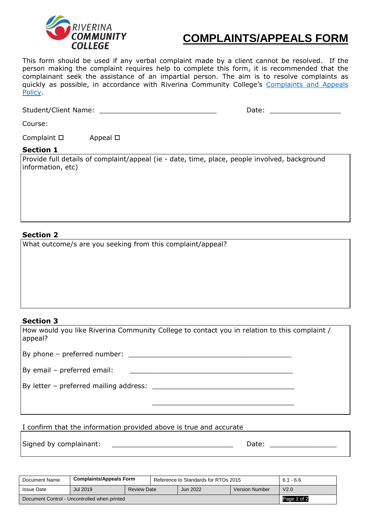

# **COMPLAINTS/APPEALS FORM**

This form should be used if any verbal complaint made by a client cannot be resolved. If the person making the complaint requires help to complete this form, it is recommended that the complainant seek the assistance of an impartial person. The aim is to resolve complaints as quickly as possible, in accordance with Riverina Community College's [Complaints and Appeals](https://www.riverinacc.edu.au/policies&procedures) [Policy.](https://www.riverinacc.edu.au/policies&procedures)

| <b>Student/Client Name:</b> | valu.<br>____ |
|-----------------------------|---------------|
|                             |               |

Course:

Complaint  $\square$  Appeal  $\square$ 

## **Section 1**

Provide full details of complaint/appeal (ie - date, time, place, people involved, background information, etc)

# **Section 2**

What outcome/s are you seeking from this complaint/appeal?

## **Section 3**

How would you like Riverina Community College to contact you in relation to this complaint / appeal?

By phone – preferred number: \_\_\_\_\_\_\_\_\_\_\_\_\_\_\_\_\_\_\_\_\_\_\_\_\_\_\_\_\_\_\_\_\_\_\_\_\_\_\_

By email – preferred email:

By letter – preferred mailing address:  $\blacksquare$ 

I confirm that the information provided above is true and accurate

 $\overline{\phantom{a}}$  , and the state of the state of the state of the state of the state of the state of the state of the state of the state of the state of the state of the state of the state of the state of the state of the stat

Signed by complainant: \_\_\_\_\_\_\_\_\_\_\_\_\_\_\_\_\_\_\_\_\_\_\_\_\_\_\_\_\_ Date: \_\_\_\_\_\_\_\_\_\_\_\_\_\_\_\_

| Document Name                                | <b>Complaints/Appeals Form</b> |                    | Reference to Standards for RTOs 2015 |                 |                       | $6.1 - 6.6$      |
|----------------------------------------------|--------------------------------|--------------------|--------------------------------------|-----------------|-----------------------|------------------|
| <b>Issue Date</b>                            | Jul 2019                       | <b>Review Date</b> |                                      | <b>Jun 2022</b> | <b>Version Number</b> | V <sub>2.0</sub> |
| Document Control - Uncontrolled when printed |                                |                    |                                      |                 | Page 1 of 2           |                  |